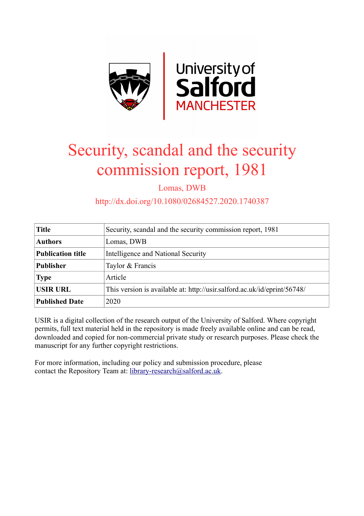

# Security, scandal and the security commission report, 1981

Lomas, DWB

http://dx.doi.org/10.1080/02684527.2020.1740387

| <b>Title</b>             | Security, scandal and the security commission report, 1981               |
|--------------------------|--------------------------------------------------------------------------|
| <b>Authors</b>           | Lomas, DWB                                                               |
| <b>Publication title</b> | Intelligence and National Security                                       |
| <b>Publisher</b>         | Taylor & Francis                                                         |
| <b>Type</b>              | Article                                                                  |
| <b>USIR URL</b>          | This version is available at: http://usir.salford.ac.uk/id/eprint/56748/ |
| <b>Published Date</b>    | 2020                                                                     |

USIR is a digital collection of the research output of the University of Salford. Where copyright permits, full text material held in the repository is made freely available online and can be read, downloaded and copied for non-commercial private study or research purposes. Please check the manuscript for any further copyright restrictions.

For more information, including our policy and submission procedure, please contact the Repository Team at: [library-research@salford.ac.uk.](mailto:library-research@salford.ac.uk)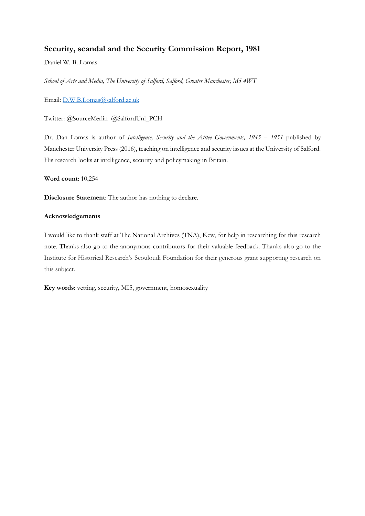## **Security, scandal and the Security Commission Report, 1981**

Daniel W. B. Lomas

*School of Arts and Media, The University of Salford, Salford, Greater Manchester, M5 4WT*

Email: D.W.B.Lomas@salford.ac.uk

Twitter: @SourceMerlin @SalfordUni\_PCH

Dr. Dan Lomas is author of *Intelligence, Security and the Attlee Governments, 1945 – 1951* published by Manchester University Press (2016), teaching on intelligence and security issues at the University of Salford. His research looks at intelligence, security and policymaking in Britain.

**Word count**: 10,254

**Disclosure Statement**: The author has nothing to declare.

#### **Acknowledgements**

I would like to thank staff at The National Archives (TNA), Kew, for help in researching for this research note. Thanks also go to the anonymous contributors for their valuable feedback. Thanks also go to the Institute for Historical Research's Scouloudi Foundation for their generous grant supporting research on this subject.

**Key words**: vetting, security, MI5, government, homosexuality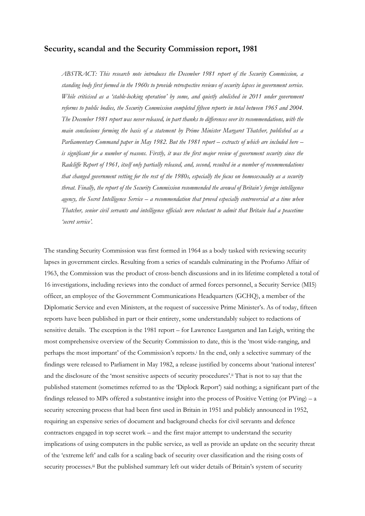### **Security, scandal and the Security Commission report, 1981**

*ABSTRACT: This research note introduces the December 1981 report of the Security Commission, a standing body first formed in the 1960s to provide retrospective reviews of security lapses in government service. While criticised as a 'stable-locking operation' by some, and quietly abolished in 2011 under government reforms to public bodies, the Security Commission completed fifteen reports in total between 1965 and 2004. The December 1981 report was never released, in part thanks to differences over its recommendations, with the main conclusions forming the basis of a statement by Prime Minister Margaret Thatcher, published as a Parliamentary Command paper in May 1982. But the 1981 report – extracts of which are included here – is significant for a number of reasons. Firstly, it was the first major review of government security since the Radcliffe Report of 1961, itself only partially released, and, second, resulted in a number of recommendations that changed government vetting for the rest of the 1980s, especially the focus on homosexuality as a security threat. Finally, the report of the Security Commission recommended the avowal of Britain's foreign intelligence agency, the Secret Intelligence Service – a recommendation that proved especially controversial at a time when Thatcher, senior civil servants and intelligence officials were reluctant to admit that Britain had a peacetime 'secret service'.* 

The standing Security Commission was first formed in 1964 as a body tasked with reviewing security lapses in government circles. Resulting from a series of scandals culminating in the Profumo Affair of 1963, the Commission was the product of cross-bench discussions and in its lifetime completed a total of 16 investigations, including reviews into the conduct of armed forces personnel, a Security Service (MI5) officer, an employee of the Government Communications Headquarters (GCHQ), a member of the Diplomatic Service and even Ministers, at the request of successive Prime Minister's. As of today, fifteen reports have been published in part or their entirety, some understandably subject to redactions of sensitive details. The exception is the 1981 report – for Lawrence Lustgarten and Ian Leigh, writing the most comprehensive overview of the Security Commission to date, this is the 'most wide-ranging, and perhaps the most important' of the Commission's reports. <sup>i</sup> In the end, only a selective summary of the findings were released to Parliament in May 1982, a release justified by concerns about 'national interest' and the disclosure of the 'most sensitive aspects of security procedures'.ii That is not to say that the published statement (sometimes referred to as the 'Diplock Report') said nothing; a significant part of the findings released to MPs offered a substantive insight into the process of Positive Vetting (or PVing) – a security screening process that had been first used in Britain in 1951 and publicly announced in 1952, requiring an expensive series of document and background checks for civil servants and defence contractors engaged in top secret work – and the first major attempt to understand the security implications of using computers in the public service, as well as provide an update on the security threat of the 'extreme left' and calls for a scaling back of security over classification and the rising costs of security processes.<sup>iii</sup> But the published summary left out wider details of Britain's system of security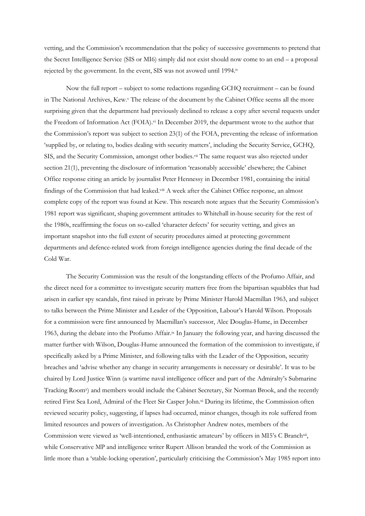vetting, and the Commission's recommendation that the policy of successive governments to pretend that the Secret Intelligence Service (SIS or MI6) simply did not exist should now come to an end – a proposal rejected by the government. In the event, SIS was not avowed until 1994.iv

Now the full report – subject to some redactions regarding GCHQ recruitment – can be found in The National Archives, Kew.<sup>y</sup> The release of the document by the Cabinet Office seems all the more surprising given that the department had previously declined to release a copy after several requests under the Freedom of Information Act (FOIA).<sup>vi</sup> In December 2019, the department wrote to the author that the Commission's report was subject to section 23(1) of the FOIA, preventing the release of information 'supplied by, or relating to, bodies dealing with security matters', including the Security Service, GCHQ, SIS, and the Security Commission, amongst other bodies.<sup>vii</sup> The same request was also rejected under section 21(1), preventing the disclosure of information 'reasonably accessible' elsewhere; the Cabinet Office response citing an article by journalist Peter Hennessy in December 1981, containing the initial findings of the Commission that had leaked.<sup>viii</sup> A week after the Cabinet Office response, an almost complete copy of the report was found at Kew. This research note argues that the Security Commission's 1981 report was significant, shaping government attitudes to Whitehall in-house security for the rest of the 1980s, reaffirming the focus on so-called 'character defects' for security vetting, and gives an important snapshot into the full extent of security procedures aimed at protecting government departments and defence-related work from foreign intelligence agencies during the final decade of the Cold War.

The Security Commission was the result of the longstanding effects of the Profumo Affair, and the direct need for a committee to investigate security matters free from the bipartisan squabbles that had arisen in earlier spy scandals, first raised in private by Prime Minister Harold Macmillan 1963, and subject to talks between the Prime Minister and Leader of the Opposition, Labour's Harold Wilson. Proposals for a commission were first announced by Macmillan's successor, Alec Douglas-Hume, in December 1963, during the debate into the Profumo Affair. ix In January the following year, and having discussed the matter further with Wilson, Douglas-Hume announced the formation of the commission to investigate, if specifically asked by a Prime Minister, and following talks with the Leader of the Opposition, security breaches and 'advise whether any change in security arrangements is necessary or desirable'. It was to be chaired by Lord Justice Winn (a wartime naval intelligence officer and part of the Admiralty's Submarine Tracking Room<sup>x</sup>) and members would include the Cabinet Secretary, Sir Norman Brook, and the recently retired First Sea Lord, Admiral of the Fleet Sir Casper John.xi During its lifetime, the Commission often reviewed security policy, suggesting, if lapses had occurred, minor changes, though its role suffered from limited resources and powers of investigation. As Christopher Andrew notes, members of the Commission were viewed as 'well-intentioned, enthusiastic amateurs' by officers in MI5's C Branch<sup>xii</sup>, while Conservative MP and intelligence writer Rupert Allison branded the work of the Commission as little more than a 'stable-locking operation', particularly criticising the Commission's May 1985 report into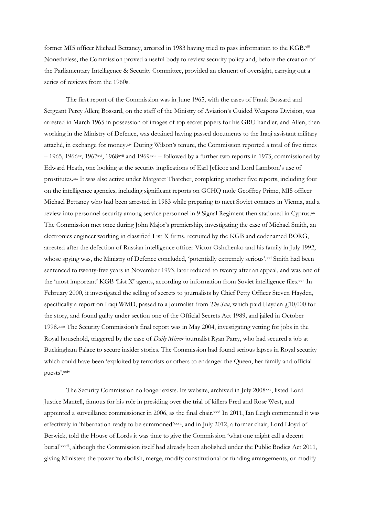former MI5 officer Michael Bettaney, arrested in 1983 having tried to pass information to the KGB.xiii Nonetheless, the Commission proved a useful body to review security policy and, before the creation of the Parliamentary Intelligence & Security Committee, provided an element of oversight, carrying out a series of reviews from the 1960s.

The first report of the Commission was in June 1965, with the cases of Frank Bossard and Sergeant Percy Allen; Bossard, on the staff of the Ministry of Aviation's Guided Weapons Division, was arrested in March 1965 in possession of images of top secret papers for his GRU handler, and Allen, then working in the Ministry of Defence, was detained having passed documents to the Iraqi assistant military attaché, in exchange for money.xiv During Wilson's tenure, the Commission reported a total of five times  $-1965$ , 1966xv, 1967xvi, 1968xvii and 1969xviii – followed by a further two reports in 1973, commissioned by Edward Heath, one looking at the security implications of Earl Jellicoe and Lord Lambton's use of prostitutes.xix It was also active under Margaret Thatcher, completing another five reports, including four on the intelligence agencies, including significant reports on GCHQ mole Geoffrey Prime, MI5 officer Michael Bettaney who had been arrested in 1983 while preparing to meet Soviet contacts in Vienna, and a review into personnel security among service personnel in 9 Signal Regiment then stationed in Cyprus.xx The Commission met once during John Major's premiership, investigating the case of Michael Smith, an electronics engineer working in classified List X firms, recruited by the KGB and codenamed BORG, arrested after the defection of Russian intelligence officer Victor Oshchenko and his family in July 1992, whose spying was, the Ministry of Defence concluded, 'potentially extremely serious'.xxi Smith had been sentenced to twenty-five years in November 1993, later reduced to twenty after an appeal, and was one of the 'most important' KGB 'List X' agents, according to information from Soviet intelligence files.xxii In February 2000, it investigated the selling of secrets to journalists by Chief Petty Officer Steven Hayden, specifically a report on Iraqi WMD, passed to a journalist from *The Sun*, which paid Hayden £10,000 for the story, and found guilty under section one of the Official Secrets Act 1989, and jailed in October 1998.xxiii The Security Commission's final report was in May 2004, investigating vetting for jobs in the Royal household, triggered by the case of *Daily Mirror* journalist Ryan Parry, who had secured a job at Buckingham Palace to secure insider stories. The Commission had found serious lapses in Royal security which could have been 'exploited by terrorists or others to endanger the Queen, her family and official guests'.xxiv

The Security Commission no longer exists. Its website, archived in July 2008xxv, listed Lord Justice Mantell, famous for his role in presiding over the trial of killers Fred and Rose West, and appointed a surveillance commissioner in 2006, as the final chair. xxvi In 2011, Ian Leigh commented it was effectively in 'hibernation ready to be summoned'xxvii, and in July 2012, a former chair, Lord Lloyd of Berwick, told the House of Lords it was time to give the Commission 'what one might call a decent burial'xxviii, although the Commission itself had already been abolished under the Public Bodies Act 2011, giving Ministers the power 'to abolish, merge, modify constitutional or funding arrangements, or modify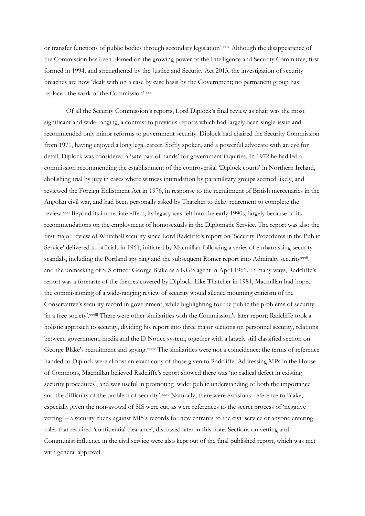or transfer functions of public bodies through secondary legislation'.xxix Although the disappearance of the Commission has been blamed on the growing power of the Intelligence and Security Committee, first formed in 1994, and strengthened by the Justice and Security Act 2013, the investigation of security breaches are now 'dealt with on a case by case basis by the Government; no permanent group has replaced the work of the Commission'.xxx

Of all the Security Commission's reports, Lord Diplock's final review as chair was the most significant and wide-ranging, a contrast to previous reports which had largely been single-issue and recommended only minor reforms to government security. Diplock had chaired the Security Commission from 1971, having enjoyed a long legal career. Softly spoken, and a powerful advocate with an eye for detail, Diplock was considered a 'safe pair of hands' for government inquiries. In 1972 he had led a commission recommending the establishment of the controversial 'Diplock courts' in Northern Ireland, abolishing trial by jury in cases where witness intimidation by paramilitary groups seemed likely, and reviewed the Foreign Enlistment Act in 1976, in response to the recruitment of British mercenaries in the Angolan civil war, and had been personally asked by Thatcher to delay retirement to complete the review.xxxi Beyond its immediate effect, its legacy was felt into the early 1990s, largely because of its recommendations on the employment of homosexuals in the Diplomatic Service. The report was also the first major review of Whitehall security since Lord Radcliffe's report on 'Security Procedures in the Public Service' delivered to officials in 1961, initiated by Macmillan following a series of embarrassing security scandals, including the Portland spy ring and the subsequent Romer report into Admiralty securityxxxii, and the unmasking of SIS officer George Blake as a KGB agent in April 1961. In many ways, Radcliffe's report was a foretaste of the themes covered by Diplock. Like Thatcher in 1981, Macmillan had hoped the commissioning of a wide-ranging review of security would silence mounting criticism of the Conservative's security record in government, while highlighting for the public the problems of security 'in a free society'.xxxiii There were other similarities with the Commission's later report; Radcliffe took a holistic approach to security, dividing his report into three major sections on personnel security, relations between government, media and the D Notice system, together with a largely still classified section on George Blake's recruitment and spying.xxxiv The similarities were not a coincidence; the terms of reference handed to Diplock were almost an exact copy of those given to Radcliffe. Addressing MPs in the House of Commons, Macmillan believed Radcliffe's report showed there was 'no radical defect in existing security procedures', and was useful in promoting 'wider public understanding of both the importance and the difficulty of the problem of security'. XXXV Naturally, there were excisions; reference to Blake, especially given the non-avowal of SIS were cut, as were references to the secret process of 'negative vetting' – a security check against MI5's records for new entrants to the civil service or anyone entering roles that required 'confidential clearance', discussed later in this note. Sections on vetting and Communist influence in the civil service were also kept out of the final published report, which was met with general approval.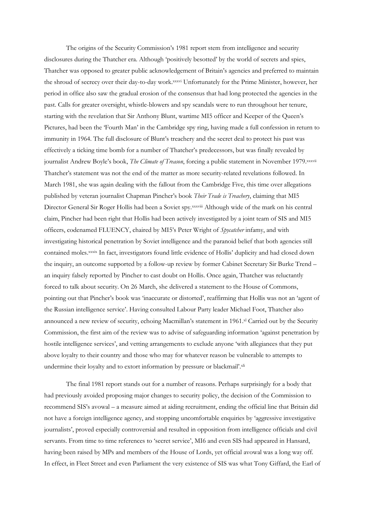The origins of the Security Commission's 1981 report stem from intelligence and security disclosures during the Thatcher era. Although 'positively besotted' by the world of secrets and spies, Thatcher was opposed to greater public acknowledgement of Britain's agencies and preferred to maintain the shroud of secrecy over their day-to-day work.xxxvi Unfortunately for the Prime Minister, however, her period in office also saw the gradual erosion of the consensus that had long protected the agencies in the past. Calls for greater oversight, whistle-blowers and spy scandals were to run throughout her tenure, starting with the revelation that Sir Anthony Blunt, wartime MI5 officer and Keeper of the Queen's Pictures, had been the 'Fourth Man' in the Cambridge spy ring, having made a full confession in return to immunity in 1964. The full disclosure of Blunt's treachery and the secret deal to protect his past was effectively a ticking time bomb for a number of Thatcher's predecessors, but was finally revealed by journalist Andrew Boyle's book, *The Climate of Treason*, forcing a public statement in November 1979.xxxvii Thatcher's statement was not the end of the matter as more security-related revelations followed. In March 1981, she was again dealing with the fallout from the Cambridge Five, this time over allegations published by veteran journalist Chapman Pincher's book *Their Trade is Treachery*, claiming that MI5 Director General Sir Roger Hollis had been a Soviet spy.xxxviii Although wide of the mark on his central claim, Pincher had been right that Hollis had been actively investigated by a joint team of SIS and MI5 officers, codenamed FLUENCY, chaired by MI5's Peter Wright of *Spycatcher* infamy, and with investigating historical penetration by Soviet intelligence and the paranoid belief that both agencies still contained moles. xxxix In fact, investigators found little evidence of Hollis' duplicity and had closed down the inquiry, an outcome supported by a follow-up review by former Cabinet Secretary Sir Burke Trend – an inquiry falsely reported by Pincher to cast doubt on Hollis. Once again, Thatcher was reluctantly forced to talk about security. On 26 March, she delivered a statement to the House of Commons, pointing out that Pincher's book was 'inaccurate or distorted', reaffirming that Hollis was not an 'agent of the Russian intelligence service'. Having consulted Labour Party leader Michael Foot, Thatcher also announced a new review of security, echoing Macmillan's statement in 1961.<sup>xl</sup> Carried out by the Security Commission, the first aim of the review was to advise of safeguarding information 'against penetration by hostile intelligence services', and vetting arrangements to exclude anyone 'with allegiances that they put above loyalty to their country and those who may for whatever reason be vulnerable to attempts to undermine their loyalty and to extort information by pressure or blackmail'.xli

The final 1981 report stands out for a number of reasons. Perhaps surprisingly for a body that had previously avoided proposing major changes to security policy, the decision of the Commission to recommend SIS's avowal – a measure aimed at aiding recruitment, ending the official line that Britain did not have a foreign intelligence agency, and stopping uncomfortable enquiries by 'aggressive investigative journalists', proved especially controversial and resulted in opposition from intelligence officials and civil servants. From time to time references to 'secret service', MI6 and even SIS had appeared in Hansard, having been raised by MPs and members of the House of Lords, yet official avowal was a long way off. In effect, in Fleet Street and even Parliament the very existence of SIS was what Tony Giffard, the Earl of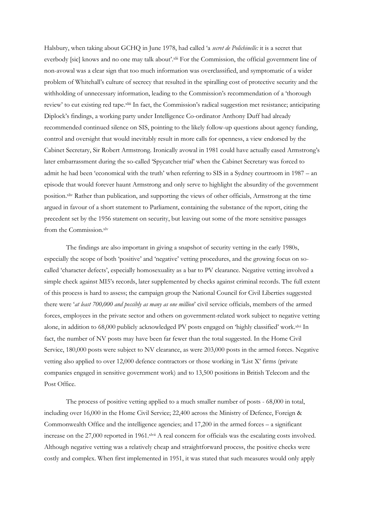Halsbury, when taking about GCHQ in June 1978, had called 'a *secret de Polichinelle:* it is a secret that everbody [sic] knows and no one may talk about'.xlii For the Commission, the official government line of non-avowal was a clear sign that too much information was overclassified, and symptomatic of a wider problem of Whitehall's culture of secrecy that resulted in the spiralling cost of protective security and the withholding of unnecessary information, leading to the Commission's recommendation of a 'thorough review' to cut existing red tape.xliii In fact, the Commission's radical suggestion met resistance; anticipating Diplock's findings, a working party under Intelligence Co-ordinator Anthony Duff had already recommended continued silence on SIS, pointing to the likely follow-up questions about agency funding, control and oversight that would inevitably result in more calls for openness, a view endorsed by the Cabinet Secretary, Sir Robert Armstrong. Ironically avowal in 1981 could have actually eased Armstrong's later embarrassment during the so-called 'Spycatcher trial' when the Cabinet Secretary was forced to admit he had been 'economical with the truth' when referring to SIS in a Sydney courtroom in 1987 – an episode that would forever haunt Armstrong and only serve to highlight the absurdity of the government position.xliv Rather than publication, and supporting the views of other officials, Armstrong at the time argued in favour of a short statement to Parliament, containing the substance of the report, citing the precedent set by the 1956 statement on security, but leaving out some of the more sensitive passages from the Commission.xlv

The findings are also important in giving a snapshot of security vetting in the early 1980s, especially the scope of both 'positive' and 'negative' vetting procedures, and the growing focus on socalled 'character defects', especially homosexuality as a bar to PV clearance. Negative vetting involved a simple check against MI5's records, later supplemented by checks against criminal records. The full extent of this process is hard to assess; the campaign group the National Council for Civil Liberties suggested there were '*at least 700,000 and possibly as many as one million*' civil service officials, members of the armed forces, employees in the private sector and others on government-related work subject to negative vetting alone, in addition to 68,000 publicly acknowledged PV posts engaged on 'highly classified' work.xlvi In fact, the number of NV posts may have been far fewer than the total suggested. In the Home Civil Service, 180,000 posts were subject to NV clearance, as were 203,000 posts in the armed forces. Negative vetting also applied to over 12,000 defence contractors or those working in 'List X' firms (private companies engaged in sensitive government work) and to 13,500 positions in British Telecom and the Post Office.

The process of positive vetting applied to a much smaller number of posts - 68,000 in total, including over 16,000 in the Home Civil Service; 22,400 across the Ministry of Defence, Foreign & Commonwealth Office and the intelligence agencies; and  $17,200$  in the armed forces – a significant increase on the 27,000 reported in 1961.<sup>xlvii</sup> A real concern for officials was the escalating costs involved. Although negative vetting was a relatively cheap and straightforward process, the positive checks were costly and complex. When first implemented in 1951, it was stated that such measures would only apply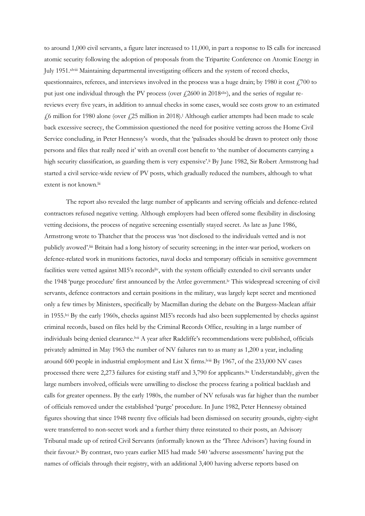to around 1,000 civil servants, a figure later increased to 11,000, in part a response to IS calls for increased atomic security following the adoption of proposals from the Tripartite Conference on Atomic Energy in July 1951. xlviii Maintaining departmental investigating officers and the system of record checks, questionnaires, referees, and interviews involved in the process was a huge drain; by 1980 it cost  $\frac{1700}{100}$  to put just one individual through the PV process (over  $\ell$ 2600 in 2018xlix), and the series of regular rereviews every five years, in addition to annual checks in some cases, would see costs grow to an estimated £6 million for 1980 alone (over £25 million in 2018).<sup>1</sup> Although earlier attempts had been made to scale back excessive secrecy, the Commission questioned the need for positive vetting across the Home Civil Service concluding, in Peter Hennessy's words, that the 'palisades should be drawn to protect only those persons and files that really need it' with an overall cost benefit to 'the number of documents carrying a high security classification, as guarding them is very expensive'.<sup>Ii</sup> By June 1982, Sir Robert Armstrong had started a civil service-wide review of PV posts, which gradually reduced the numbers, although to what extent is not known.<sup>lii</sup>

The report also revealed the large number of applicants and serving officials and defence-related contractors refused negative vetting. Although employers had been offered some flexibility in disclosing vetting decisions, the process of negative screening essentially stayed secret. As late as June 1986, Armstrong wrote to Thatcher that the process was 'not disclosed to the individuals vetted and is not publicly avowed'.<sup>liii</sup> Britain had a long history of security screening; in the inter-war period, workers on defence-related work in munitions factories, naval docks and temporary officials in sensitive government facilities were vetted against MI5's records<sup>liv</sup>, with the system officially extended to civil servants under the 1948 'purge procedure' first announced by the Attlee government.<sup>Iv</sup> This widespread screening of civil servants, defence contractors and certain positions in the military, was largely kept secret and mentioned only a few times by Ministers, specifically by Macmillan during the debate on the Burgess-Maclean affair in 1955.<sup>lvi</sup> By the early 1960s, checks against MI5's records had also been supplemented by checks against criminal records, based on files held by the Criminal Records Office, resulting in a large number of individuals being denied clearance.lvii A year after Radcliffe's recommendations were published, officials privately admitted in May 1963 the number of NV failures ran to as many as 1,200 a year, including around 600 people in industrial employment and List X firms.<sup>lviii</sup> By 1967, of the 233,000 NV cases processed there were 2,273 failures for existing staff and 3,790 for applicants.lix Understandably, given the large numbers involved, officials were unwilling to disclose the process fearing a political backlash and calls for greater openness. By the early 1980s, the number of NV refusals was far higher than the number of officials removed under the established 'purge' procedure. In June 1982, Peter Hennessy obtained figures showing that since 1948 twenty five officials had been dismissed on security grounds, eighty-eight were transferred to non-secret work and a further thirty three reinstated to their posts, an Advisory Tribunal made up of retired Civil Servants (informally known as the 'Three Advisors') having found in their favour.<sup>Ix</sup> By contrast, two years earlier MI5 had made 540 'adverse assessments' having put the names of officials through their registry, with an additional 3,400 having adverse reports based on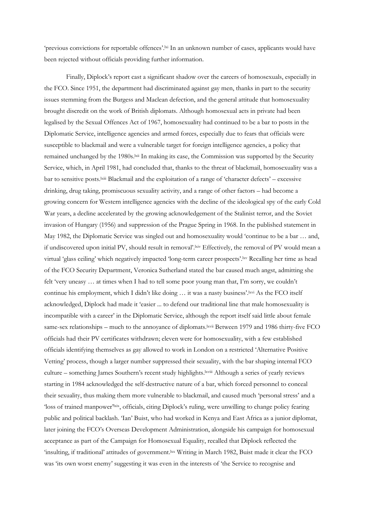'previous convictions for reportable offences'.lxi In an unknown number of cases, applicants would have been rejected without officials providing further information.

Finally, Diplock's report cast a significant shadow over the careers of homosexuals, especially in the FCO. Since 1951, the department had discriminated against gay men, thanks in part to the security issues stemming from the Burgess and Maclean defection, and the general attitude that homosexuality brought discredit on the work of British diplomats. Although homosexual acts in private had been legalised by the Sexual Offences Act of 1967, homosexuality had continued to be a bar to posts in the Diplomatic Service, intelligence agencies and armed forces, especially due to fears that officials were susceptible to blackmail and were a vulnerable target for foreign intelligence agencies, a policy that remained unchanged by the 1980s.<sup>lxii</sup> In making its case, the Commission was supported by the Security Service, which, in April 1981, had concluded that, thanks to the threat of blackmail, homosexuality was a bar to sensitive posts.lxiii Blackmail and the exploitation of a range of 'character defects' – excessive drinking, drug taking, promiscuous sexuality activity, and a range of other factors – had become a growing concern for Western intelligence agencies with the decline of the ideological spy of the early Cold War years, a decline accelerated by the growing acknowledgement of the Stalinist terror, and the Soviet invasion of Hungary (1956) and suppression of the Prague Spring in 1968. In the published statement in May 1982, the Diplomatic Service was singled out and homosexuality would 'continue to be a bar … and, if undiscovered upon initial PV, should result in removal'.<sup>kiv</sup> Effectively, the removal of PV would mean a virtual 'glass ceiling' which negatively impacted 'long-term career prospects'.<sup>1xv</sup> Recalling her time as head of the FCO Security Department, Veronica Sutherland stated the bar caused much angst, admitting she felt 'very uneasy … at times when I had to tell some poor young man that, I'm sorry, we couldn't continue his employment, which I didn't like doing ... it was a nasty business'.lxvi As the FCO itself acknowledged, Diplock had made it 'easier ... to defend our traditional line that male homosexuality is incompatible with a career' in the Diplomatic Service, although the report itself said little about female same-sex relationships – much to the annoyance of diplomats.lxvii Between 1979 and 1986 thirty-five FCO officials had their PV certificates withdrawn; eleven were for homosexuality, with a few established officials identifying themselves as gay allowed to work in London on a restricted 'Alternative Positive Vetting' process, though a larger number suppressed their sexuality, with the bar shaping internal FCO culture – something James Southern's recent study highlights. Kiviii Although a series of yearly reviews starting in 1984 acknowledged the self-destructive nature of a bar, which forced personnel to conceal their sexuality, thus making them more vulnerable to blackmail, and caused much 'personal stress' and a 'loss of trained manpower'<sup>lxix</sup>, officials, citing Diplock's ruling, were unwilling to change policy fearing public and political backlash. 'Ian' Buist, who had worked in Kenya and East Africa as a junior diplomat, later joining the FCO's Overseas Development Administration, alongside his campaign for homosexual acceptance as part of the Campaign for Homosexual Equality, recalled that Diplock reflected the 'insulting, if traditional' attitudes of government. lxx Writing in March 1982, Buist made it clear the FCO was 'its own worst enemy' suggesting it was even in the interests of 'the Service to recognise and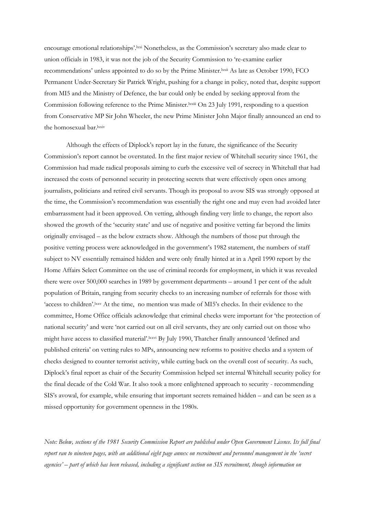encourage emotional relationships'.<sup>lxxi</sup> Nonetheless, as the Commission's secretary also made clear to union officials in 1983, it was not the job of the Security Commission to 're-examine earlier recommendations' unless appointed to do so by the Prime Minister.<sup>1xxii</sup> As late as October 1990, FCO Permanent Under-Secretary Sir Patrick Wright, pushing for a change in policy, noted that, despite support from MI5 and the Ministry of Defence, the bar could only be ended by seeking approval from the Commission following reference to the Prime Minister.lxxiii On 23 July 1991, responding to a question from Conservative MP Sir John Wheeler, the new Prime Minister John Major finally announced an end to the homosexual bar. lxxiv

Although the effects of Diplock's report lay in the future, the significance of the Security Commission's report cannot be overstated. In the first major review of Whitehall security since 1961, the Commission had made radical proposals aiming to curb the excessive veil of secrecy in Whitehall that had increased the costs of personnel security in protecting secrets that were effectively open ones among journalists, politicians and retired civil servants. Though its proposal to avow SIS was strongly opposed at the time, the Commission's recommendation was essentially the right one and may even had avoided later embarrassment had it been approved. On vetting, although finding very little to change, the report also showed the growth of the 'security state' and use of negative and positive vetting far beyond the limits originally envisaged – as the below extracts show. Although the numbers of those put through the positive vetting process were acknowledged in the government's 1982 statement, the numbers of staff subject to NV essentially remained hidden and were only finally hinted at in a April 1990 report by the Home Affairs Select Committee on the use of criminal records for employment, in which it was revealed there were over 500,000 searches in 1989 by government departments – around 1 per cent of the adult population of Britain, ranging from security checks to an increasing number of referrals for those with 'access to children'.lxxv At the time, no mention was made of MI5's checks. In their evidence to the committee, Home Office officials acknowledge that criminal checks were important for 'the protection of national security' and were 'not carried out on all civil servants, they are only carried out on those who might have access to classified material'.<sup>kxvi</sup> By July 1990, Thatcher finally announced 'defined and published criteria' on vetting rules to MPs, announcing new reforms to positive checks and a system of checks designed to counter terrorist activity, while cutting back on the overall cost of security. As such, Diplock's final report as chair of the Security Commission helped set internal Whitehall security policy for the final decade of the Cold War. It also took a more enlightened approach to security - recommending SIS's avowal, for example, while ensuring that important secrets remained hidden – and can be seen as a missed opportunity for government openness in the 1980s.

*Note: Below, sections of the 1981 Security Commission Report are published under Open Government Licence. Its full final report ran to nineteen pages, with an additional eight page annex on recruitment and personnel management in the 'secret agencies' – part of which has been released, including a significant section on SIS recruitment, though information on*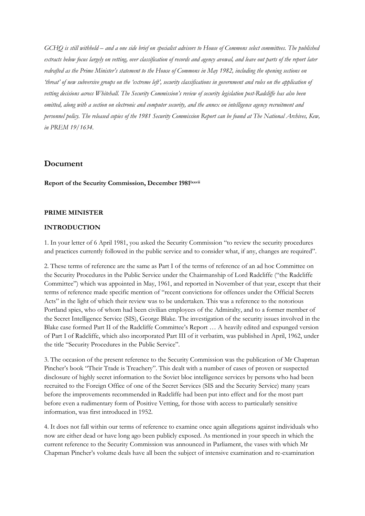*GCHQ is still withheld – and a one side brief on specialist advisors to House of Commons select committees. The published extracts below focus largely on vetting, over classification of records and agency avowal, and leave out parts of the report later*  redrafted as the Prime Minister's statement to the House of Commons in May 1982, including the opening sections on *'threat' of new subversive groups on the 'extreme left', security classifications in government and rules on the application of vetting decisions across Whitehall. The Security Commission's review of security legislation post-Radcliffe has also been omitted, along with a section on electronic and computer security, and the annex on intelligence agency recruitment and personnel policy. The released copies of the 1981 Security Commission Report can be found at The National Archives, Kew, in PREM 19/1634.*

## **Document**

**Report of the Security Commission, December 1981lxxvii**

#### **PRIME MINISTER**

### **INTRODUCTION**

1. In your letter of 6 April 1981, you asked the Security Commission "to review the security procedures and practices currently followed in the public service and to consider what, if any, changes are required".

2. These terms of reference are the same as Part I of the terms of reference of an ad hoc Committee on the Security Procedures in the Public Service under the Chairmanship of Lord Radcliffe ("the Radcliffe Committee") which was appointed in May, 1961, and reported in November of that year, except that their terms of reference made specific mention of "recent convictions for offences under the Official Secrets Acts" in the light of which their review was to be undertaken. This was a reference to the notorious Portland spies, who of whom had been civilian employees of the Admiralty, and to a former member of the Secret Intelligence Service (SIS), George Blake. The investigation of the security issues involved in the Blake case formed Part II of the Radcliffe Committee's Report … A heavily edited and expunged version of Part I of Radcliffe, which also incorporated Part III of it verbatim, was published in April, 1962, under the title "Security Procedures in the Public Service".

3. The occasion of the present reference to the Security Commission was the publication of Mr Chapman Pincher's book "Their Trade is Treachery". This dealt with a number of cases of proven or suspected disclosure of highly secret information to the Soviet bloc intelligence services by persons who had been recruited to the Foreign Office of one of the Secret Services (SIS and the Security Service) many years before the improvements recommended in Radcliffe had been put into effect and for the most part before even a rudimentary form of Positive Vetting, for those with access to particularly sensitive information, was first introduced in 1952.

4. It does not fall within our terms of reference to examine once again allegations against individuals who now are either dead or have long ago been publicly exposed. As mentioned in your speech in which the current reference to the Security Commission was announced in Parliament, the vases with which Mr Chapman Pincher's volume deals have all been the subject of intensive examination and re-examination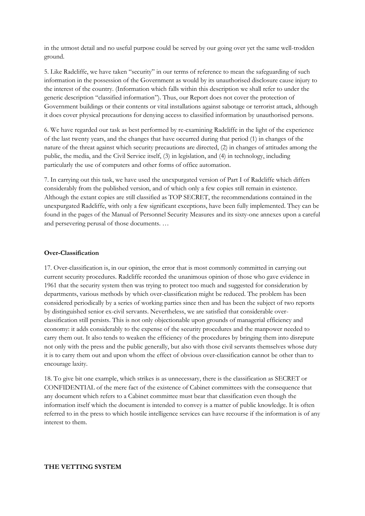in the utmost detail and no useful purpose could be served by our going over yet the same well-trodden ground.

5. Like Radcliffe, we have taken "security" in our terms of reference to mean the safeguarding of such information in the possession of the Government as would by its unauthorised disclosure cause injury to the interest of the country. (Information which falls within this description we shall refer to under the generic description "classified information"). Thus, our Report does not cover the protection of Government buildings or their contents or vital installations against sabotage or terrorist attack, although it does cover physical precautions for denying access to classified information by unauthorised persons.

6. We have regarded our task as best performed by re-examining Radcliffe in the light of the experience of the last twenty years, and the changes that have occurred during that period (1) in changes of the nature of the threat against which security precautions are directed, (2) in changes of attitudes among the public, the media, and the Civil Service itself, (3) in legislation, and (4) in technology, including particularly the use of computers and other forms of office automation.

7. In carrying out this task, we have used the unexpurgated version of Part I of Radcliffe which differs considerably from the published version, and of which only a few copies still remain in existence. Although the extant copies are still classified as TOP SECRET, the recommendations contained in the unexpurgated Radcliffe, with only a few significant exceptions, have been fully implemented. They can be found in the pages of the Manual of Personnel Security Measures and its sixty-one annexes upon a careful and persevering perusal of those documents. …

#### **Over-Classification**

17. Over-classification is, in our opinion, the error that is most commonly committed in carrying out current security procedures. Radcliffe recorded the unanimous opinion of those who gave evidence in 1961 that the security system then was trying to protect too much and suggested for consideration by departments, various methods by which over-classification might be reduced. The problem has been considered periodically by a series of working parties since then and has been the subject of two reports by distinguished senior ex-civil servants. Nevertheless, we are satisfied that considerable overclassification still persists. This is not only objectionable upon grounds of managerial efficiency and economy: it adds considerably to the expense of the security procedures and the manpower needed to carry them out. It also tends to weaken the efficiency of the procedures by bringing them into disrepute not only with the press and the public generally, but also with those civil servants themselves whose duty it is to carry them out and upon whom the effect of obvious over-classification cannot be other than to encourage laxity.

18. To give bit one example, which strikes is as unnecessary, there is the classification as SECRET or CONFIDENTIAL of the mere fact of the existence of Cabinet committees with the consequence that any document which refers to a Cabinet committee must bear that classification even though the information itself which the document is intended to convey is a matter of public knowledge. It is often referred to in the press to which hostile intelligence services can have recourse if the information is of any interest to them.

#### **THE VETTING SYSTEM**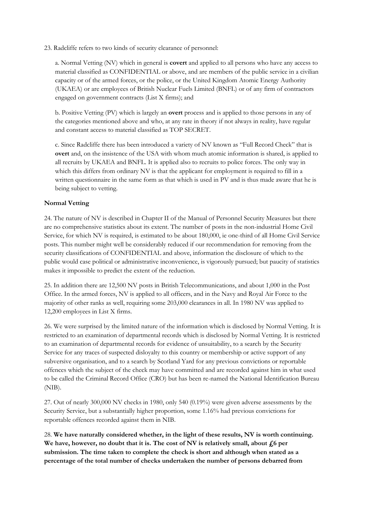23. Radcliffe refers to two kinds of security clearance of personnel:

a. Normal Vetting (NV) which in general is **covert** and applied to all persons who have any access to material classified as CONFIDENTIAL or above, and are members of the public service in a civilian capacity or of the armed forces, or the police, or the United Kingdom Atomic Energy Authority (UKAEA) or are employees of British Nuclear Fuels Limited (BNFL) or of any firm of contractors engaged on government contracts (List X firms); and

b. Positive Vetting (PV) which is largely an **overt** process and is applied to those persons in any of the categories mentioned above and who, at any rate in theory if not always in reality, have regular and constant access to material classified as TOP SECRET.

c. Since Radcliffe there has been introduced a variety of NV known as "Full Record Check" that is **overt** and, on the insistence of the USA with whom much atomic information is shared, is applied to all recruits by UKAEA and BNFL. It is applied also to recruits to police forces. The only way in which this differs from ordinary NV is that the applicant for employment is required to fill in a written questionnaire in the same form as that which is used in PV and is thus made aware that he is being subject to vetting.

## **Normal Vetting**

24. The nature of NV is described in Chapter II of the Manual of Personnel Security Measures but there are no comprehensive statistics about its extent. The number of posts in the non-industrial Home Civil Service, for which NV is required, is estimated to be about 180,000, ie one-third of all Home Civil Service posts. This number might well be considerably reduced if our recommendation for removing from the security classifications of CONFIDENTIAL and above, information the disclosure of which to the public would case political or administrative inconvenience, is vigorously pursued; but paucity of statistics makes it impossible to predict the extent of the reduction.

25. In addition there are 12,500 NV posts in British Telecommunications, and about 1,000 in the Post Office. In the armed forces, NV is applied to all officers, and in the Navy and Royal Air Force to the majority of other ranks as well, requiring some 203,000 clearances in all. In 1980 NV was applied to 12,200 employees in List X firms.

26. We were surprised by the limited nature of the information which is disclosed by Normal Vetting. It is restricted to an examination of departmental records which is disclosed by Normal Vetting. It is restricted to an examination of departmental records for evidence of unsuitability, to a search by the Security Service for any traces of suspected disloyalty to this country or membership or active support of any subversive organisation, and to a search by Scotland Yard for any previous convictions or reportable offences which the subject of the check may have committed and are recorded against him in what used to be called the Criminal Record Office (CRO) but has been re-named the National Identification Bureau (NIB).

27. Out of nearly 300,000 NV checks in 1980, only 540 (0.19%) were given adverse assessments by the Security Service, but a substantially higher proportion, some 1.16% had previous convictions for reportable offences recorded against them in NIB.

28. **We have naturally considered whether, in the light of these results, NV is worth continuing.**  We have, however, no doubt that it is. The cost of NV is relatively small, about £6 per **submission. The time taken to complete the check is short and although when stated as a percentage of the total number of checks undertaken the number of persons debarred from**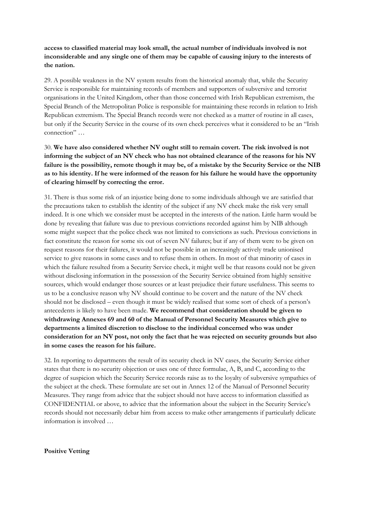## **access to classified material may look small, the actual number of individuals involved is not inconsiderable and any single one of them may be capable of causing injury to the interests of the nation.**

29. A possible weakness in the NV system results from the historical anomaly that, while the Security Service is responsible for maintaining records of members and supporters of subversive and terrorist organisations in the United Kingdom, other than those concerned with Irish Republican extremism, the Special Branch of the Metropolitan Police is responsible for maintaining these records in relation to Irish Republican extremism. The Special Branch records were not checked as a matter of routine in all cases, but only if the Security Service in the course of its own check perceives what it considered to be an "Irish connection" …

30. **We have also considered whether NV ought still to remain covert. The risk involved is not informing the subject of an NV check who has not obtained clearance of the reasons for his NV failure is the possibility, remote though it may be, of a mistake by the Security Service or the NIB as to his identity. If he were informed of the reason for his failure he would have the opportunity of clearing himself by correcting the error.**

31. There is thus some risk of an injustice being done to some individuals although we are satisfied that the precautions taken to establish the identity of the subject if any NV check make the risk very small indeed. It is one which we consider must be accepted in the interests of the nation. Little harm would be done by revealing that failure was due to previous convictions recorded against him by NIB although some might suspect that the police check was not limited to convictions as such. Previous convictions in fact constitute the reason for some six out of seven NV failures; but if any of them were to be given on request reasons for their failures, it would not be possible in an increasingly actively trade unionised service to give reasons in some cases and to refuse them in others. In most of that minority of cases in which the failure resulted from a Security Service check, it might well be that reasons could not be given without disclosing information in the possession of the Security Service obtained from highly sensitive sources, which would endanger those sources or at least prejudice their future usefulness. This seems to us to be a conclusive reason why NV should continue to be covert and the nature of the NV check should not be disclosed – even though it must be widely realised that some sort of check of a person's antecedents is likely to have been made. **We recommend that consideration should be given to withdrawing Annexes 69 and 60 of the Manual of Personnel Security Measures which give to departments a limited discretion to disclose to the individual concerned who was under consideration for an NV post, not only the fact that he was rejected on security grounds but also in some cases the reason for his failure.**

32. In reporting to departments the result of its security check in NV cases, the Security Service either states that there is no security objection or uses one of three formulae, A, B, and C, according to the degree of suspicion which the Security Service records raise as to the loyalty of subversive sympathies of the subject at the check. These formulate are set out in Annex 12 of the Manual of Personnel Security Measures. They range from advice that the subject should not have access to information classified as CONFIDENTIAL or above, to advice that the information about the subject in the Security Service's records should not necessarily debar him from access to make other arrangements if particularly delicate information is involved …

#### **Positive Vetting**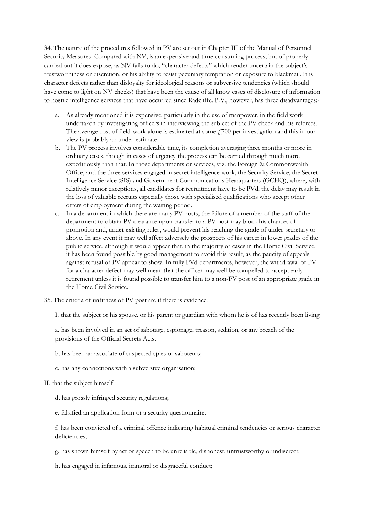34. The nature of the procedures followed in PV are set out in Chapter III of the Manual of Personnel Security Measures. Compared with NV, is an expensive and time-consuming process, but of properly carried out it does expose, as NV fails to do, "character defects" which render uncertain the subject's trustworthiness or discretion, or his ability to resist pecuniary temptation or exposure to blackmail. It is character defects rather than disloyalty for ideological reasons or subversive tendencies (which should have come to light on NV checks) that have been the cause of all know cases of disclosure of information to hostile intelligence services that have occurred since Radcliffe. P.V., however, has three disadvantages:-

- a. As already mentioned it is expensive, particularly in the use of manpower, in the field work undertaken by investigating officers in interviewing the subject of the PV check and his referees. The average cost of field-work alone is estimated at some  $f(700)$  per investigation and this in our view is probably an under-estimate.
- b. The PV process involves considerable time, its completion averaging three months or more in ordinary cases, though in cases of urgency the process can be carried through much more expeditiously than that. In those departments or services, viz. the Foreign & Commonwealth Office, and the three services engaged in secret intelligence work, the Security Service, the Secret Intelligence Service (SIS) and Government Communications Headquarters (GCHQ), where, with relatively minor exceptions, all candidates for recruitment have to be PVd, the delay may result in the loss of valuable recruits especially those with specialised qualifications who accept other offers of employment during the waiting period.
- c. In a department in which there are many PV posts, the failure of a member of the staff of the department to obtain PV clearance upon transfer to a PV post may block his chances of promotion and, under existing rules, would prevent his reaching the grade of under-secretary or above. In any event it may well affect adversely the prospects of his career in lower grades of the public service, although it would appear that, in the majority of cases in the Home Civil Service, it has been found possible by good management to avoid this result, as the paucity of appeals against refusal of PV appear to show. In fully PVd departments, however, the withdrawal of PV for a character defect may well mean that the officer may well be compelled to accept early retirement unless it is found possible to transfer him to a non-PV post of an appropriate grade in the Home Civil Service.
- 35. The criteria of unfitness of PV post are if there is evidence:

I. that the subject or his spouse, or his parent or guardian with whom he is of has recently been living

a. has been involved in an act of sabotage, espionage, treason, sedition, or any breach of the provisions of the Official Secrets Acts;

- b. has been an associate of suspected spies or saboteurs;
- c. has any connections with a subversive organisation;
- II. that the subject himself
	- d. has grossly infringed security regulations;
	- e. falsified an application form or a security questionnaire;

f. has been convicted of a criminal offence indicating habitual criminal tendencies or serious character deficiencies;

- g. has shown himself by act or speech to be unreliable, dishonest, untrustworthy or indiscreet;
- h. has engaged in infamous, immoral or disgraceful conduct;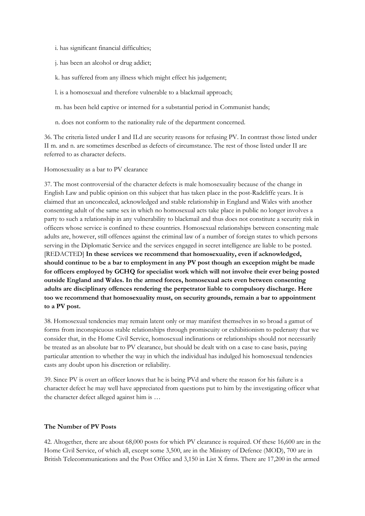- i. has significant financial difficulties;
- j. has been an alcohol or drug addict;
- k. has suffered from any illness which might effect his judgement;
- l. is a homosexual and therefore vulnerable to a blackmail approach;
- m. has been held captive or interned for a substantial period in Communist hands;
- n. does not conform to the nationality rule of the department concerned.

36. The criteria listed under I and II.d are security reasons for refusing PV. In contrast those listed under II m. and n. are sometimes described as defects of circumstance. The rest of those listed under II are referred to as character defects.

Homosexuality as a bar to PV clearance

37. The most controversial of the character defects is male homosexuality because of the change in English Law and public opinion on this subject that has taken place in the post-Radcliffe years. It is claimed that an unconcealed, acknowledged and stable relationship in England and Wales with another consenting adult of the same sex in which no homosexual acts take place in public no longer involves a party to such a relationship in any vulnerability to blackmail and thus does not constitute a security risk in officers whose service is confined to these countries. Homosexual relationships between consenting male adults are, however, still offences against the criminal law of a number of foreign states to which persons serving in the Diplomatic Service and the services engaged in secret intelligence are liable to be posted. [REDACTED] **In these services we recommend that homosexuality, even if acknowledged, should continue to be a bar to employment in any PV post though an exception might be made for officers employed by GCHQ for specialist work which will not involve their ever being posted outside England and Wales. In the armed forces, homosexual acts even between consenting adults are disciplinary offences rendering the perpetrator liable to compulsory discharge. Here too we recommend that homosexuality must, on security grounds, remain a bar to appointment to a PV post.**

38. Homosexual tendencies may remain latent only or may manifest themselves in so broad a gamut of forms from inconspicuous stable relationships through promiscuity or exhibitionism to pederasty that we consider that, in the Home Civil Service, homosexual inclinations or relationships should not necessarily be treated as an absolute bar to PV clearance, but should be dealt with on a case to case basis, paying particular attention to whether the way in which the individual has indulged his homosexual tendencies casts any doubt upon his discretion or reliability.

39. Since PV is overt an officer knows that he is being PVd and where the reason for his failure is a character defect he may well have appreciated from questions put to him by the investigating officer what the character defect alleged against him is …

#### **The Number of PV Posts**

42. Altogether, there are about 68,000 posts for which PV clearance is required. Of these 16,600 are in the Home Civil Service, of which all, except some 3,500, are in the Ministry of Defence (MOD), 700 are in British Telecommunications and the Post Office and 3,150 in List X firms. There are 17,200 in the armed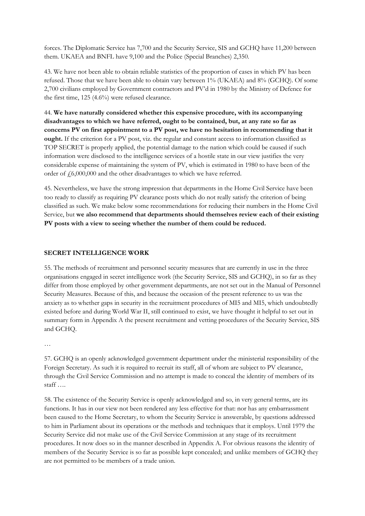forces. The Diplomatic Service has 7,700 and the Security Service, SIS and GCHQ have 11,200 between them. UKAEA and BNFL have 9,100 and the Police (Special Branches) 2,350.

43. We have not been able to obtain reliable statistics of the proportion of cases in which PV has been refused. Those that we have been able to obtain vary between 1% (UKAEA) and 8% (GCHQ). Of some 2,700 civilians employed by Government contractors and PV'd in 1980 by the Ministry of Defence for the first time, 125 (4.6%) were refused clearance.

44. **We have naturally considered whether this expensive procedure, with its accompanying disadvantages to which we have referred, ought to be contained, but, at any rate so far as concerns PV on first appointment to a PV post, we have no hesitation in recommending that it ought.** If the criterion for a PV post, viz. the regular and constant access to information classified as TOP SECRET is properly applied, the potential damage to the nation which could be caused if such information were disclosed to the intelligence services of a hostile state in our view justifies the very considerable expense of maintaining the system of PV, which is estimated in 1980 to have been of the order of  $f(6,000,000)$  and the other disadvantages to which we have referred.

45. Nevertheless, we have the strong impression that departments in the Home Civil Service have been too ready to classify as requiring PV clearance posts which do not really satisfy the criterion of being classified as such. We make below some recommendations for reducing their numbers in the Home Civil Service, but **we also recommend that departments should themselves review each of their existing PV posts with a view to seeing whether the number of them could be reduced.**

#### **SECRET INTELLIGENCE WORK**

55. The methods of recruitment and personnel security measures that are currently in use in the three organisations engaged in secret intelligence work (the Security Service, SIS and GCHQ), in so far as they differ from those employed by other government departments, are not set out in the Manual of Personnel Security Measures. Because of this, and because the occasion of the present reference to us was the anxiety as to whether gaps in security in the recruitment procedures of MI5 and MI5, which undoubtedly existed before and during World War II, still continued to exist, we have thought it helpful to set out in summary form in Appendix A the present recruitment and vetting procedures of the Security Service, SIS and GCHQ.

…

57. GCHQ is an openly acknowledged government department under the ministerial responsibility of the Foreign Secretary. As such it is required to recruit its staff, all of whom are subject to PV clearance, through the Civil Service Commission and no attempt is made to conceal the identity of members of its staff ….

58. The existence of the Security Service is openly acknowledged and so, in very general terms, are its functions. It has in our view not been rendered any less effective for that: nor has any embarrassment been caused to the Home Secretary, to whom the Security Service is answerable, by questions addressed to him in Parliament about its operations or the methods and techniques that it employs. Until 1979 the Security Service did not make use of the Civil Service Commission at any stage of its recruitment procedures. It now does so in the manner described in Appendix A. For obvious reasons the identity of members of the Security Service is so far as possible kept concealed; and unlike members of GCHQ they are not permitted to be members of a trade union.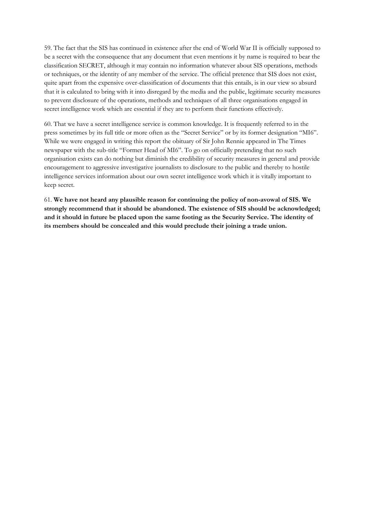59. The fact that the SIS has continued in existence after the end of World War II is officially supposed to be a secret with the consequence that any document that even mentions it by name is required to bear the classification SECRET, although it may contain no information whatever about SIS operations, methods or techniques, or the identity of any member of the service. The official pretence that SIS does not exist, quite apart from the expensive over-classification of documents that this entails, is in our view so absurd that it is calculated to bring with it into disregard by the media and the public, legitimate security measures to prevent disclosure of the operations, methods and techniques of all three organisations engaged in secret intelligence work which are essential if they are to perform their functions effectively.

60. That we have a secret intelligence service is common knowledge. It is frequently referred to in the press sometimes by its full title or more often as the "Secret Service" or by its former designation "MI6". While we were engaged in writing this report the obituary of Sir John Rennie appeared in The Times newspaper with the sub-title "Former Head of MI6". To go on officially pretending that no such organisation exists can do nothing but diminish the credibility of security measures in general and provide encouragement to aggressive investigative journalists to disclosure to the public and thereby to hostile intelligence services information about our own secret intelligence work which it is vitally important to keep secret.

61. **We have not heard any plausible reason for continuing the policy of non-avowal of SIS. We strongly recommend that it should be abandoned. The existence of SIS should be acknowledged; and it should in future be placed upon the same footing as the Security Service. The identity of its members should be concealed and this would preclude their joining a trade union.**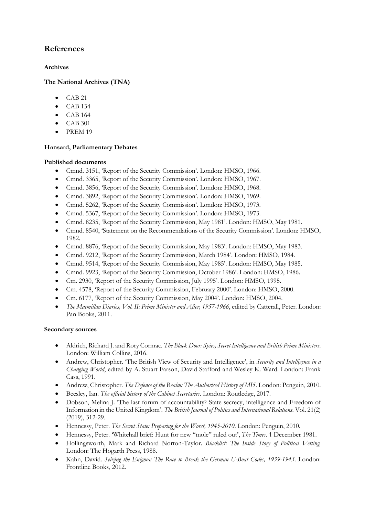# **References**

## **Archives**

## **The National Archives (TNA)**

- CAB 21
- $\bullet$  CAB 134
- CAB 164
- CAB 301
- PREM 19

## **Hansard, Parliamentary Debates**

## **Published documents**

- Cmnd. 3151, 'Report of the Security Commission'. London: HMSO, 1966.
- Cmnd. 3365, 'Report of the Security Commission'. London: HMSO, 1967.
- Cmnd. 3856, 'Report of the Security Commission'. London: HMSO, 1968.
- Cmnd. 3892, 'Report of the Security Commission'. London: HMSO, 1969.
- Cmnd. 5262, 'Report of the Security Commission'. London: HMSO, 1973.
- Cmnd. 5367, 'Report of the Security Commission'. London: HMSO, 1973.
- Cmnd. 8235, 'Report of the Security Commission, May 1981'. London: HMSO, May 1981.
- Cmnd. 8540, 'Statement on the Recommendations of the Security Commission'. London: HMSO, 1982.
- Cmnd. 8876, 'Report of the Security Commission, May 1983'. London: HMSO, May 1983.
- Cmnd. 9212, 'Report of the Security Commission, March 1984'. London: HMSO, 1984.
- Cmnd. 9514, 'Report of the Security Commission, May 1985'. London: HMSO, May 1985.
- Cmnd. 9923, 'Report of the Security Commission, October 1986'. London: HMSO, 1986.
- Cm. 2930, 'Report of the Security Commission, July 1995'. London: HMSO, 1995.
- Cm. 4578, 'Report of the Security Commission, February 2000'. London: HMSO, 2000.
- Cm. 6177, 'Report of the Security Commission, May 2004'. London: HMSO, 2004.
- *The Macmillan Diaries, Vol. II: Prime Minister and After, 1957-1966*, edited by Catterall, Peter. London: Pan Books, 2011.

## **Secondary sources**

- Aldrich, Richard J. and Rory Cormac. *The Black Door: Spies, Secret Intelligence and British Prime Ministers*. London: William Collins, 2016.
- Andrew, Christopher. 'The British View of Security and Intelligence', in *Security and Intelligence in a Changing World*, edited by A. Stuart Farson, David Stafford and Wesley K. Ward. London: Frank Cass, 1991.
- Andrew, Christopher. *The Defence of the Realm: The Authorised History of MI5*. London: Penguin, 2010.
- Beesley, Ian. *The official history of the Cabinet Secretaries*. London: Routledge, 2017.
- Dobson, Melina J. 'The last forum of accountability? State secrecy, intelligence and Freedom of Information in the United Kingdom'. *The British Journal of Politics and International Relations*. Vol. 21(2) (2019), 312-29.
- Hennessy, Peter. *The Secret State: Preparing for the Worst, 1945-2010*. London: Penguin, 2010.
- Hennessy, Peter. 'Whitehall brief: Hunt for new "mole" ruled out', *The Times*. 1 December 1981.
- Hollingsworth, Mark and Richard Norton-Taylor. *Blacklist: The Inside Story of Political Vetting.*  London: The Hogarth Press, 1988.
- Kahn, David. *Seizing the Enigma: The Race to Break the German U-Boat Codes, 1939-1943*. London: Frontline Books, 2012.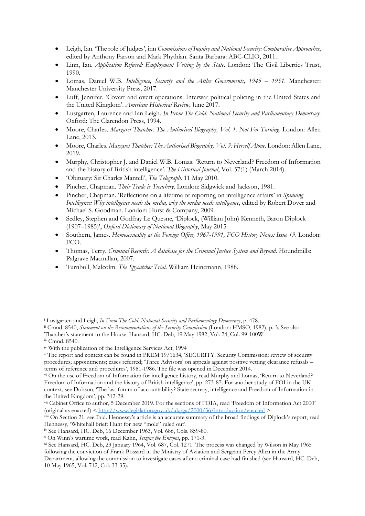- Leigh, Ian. 'The role of Judges', inn *Commissions of Inquiry and National Security: Comparative Approaches*, edited by Anthony Farson and Mark Phythian. Santa Barbara: ABC-CLIO, 2011.
- Linn, Ian. *Application Refused: Employment Vetting by the State*. London: The Civil Liberties Trust, 1990.
- Lomas, Daniel W.B. *Intelligence, Security and the Attlee Governments, 1945 – 1951*. Manchester: Manchester University Press, 2017.
- Luff, Jennifer. 'Covert and overt operations: Interwar political policing in the United States and the United Kingdom'. *American Historical Review*, June 2017.
- Lustgarten, Laurence and Ian Leigh. *In From The Cold: National Security and Parliamentary Democracy*. Oxford: The Clarendon Press, 1994.
- Moore, Charles. *Margaret Thatcher: The Authorised Biography, Vol. 1: Not For Turning*. London: Allen Lane, 2013.
- Moore, Charles. *Margaret Thatcher: The Authorised Biography, Vol. 3: Herself Alone*. London: Allen Lane, 2019.
- Murphy, Christopher J. and Daniel W.B. Lomas. 'Return to Neverland? Freedom of Information and the history of British intelligence'. *The Historical Journal*, Vol. 57(1) (March 2014).
- 'Obituary: Sir Charles Mantell', *The Telegraph*. 11 May 2010.
- Pincher, Chapman. *Their Trade is Treachery*. London: Sidgwick and Jackson, 1981.
- Pincher, Chapman. 'Reflections on a lifetime of reporting on intelligence affairs' in *Spinning Intelligence: Why intelligence needs the media, why the media needs intelligence*, edited by Robert Dover and Michael S. Goodman. London: Hurst & Company, 2009.
- Sedley, Stephen and Godfray Le Quesne, 'Diplock, (William John) Kenneth, Baron Diplock (1907–1985)', *Oxford Dictionary of National Biography*, May 2015.
- Southern, James. *Homosexuality at the Foreign Office, 1967-1991, FCO History Notes: Issue 19*. London: FCO.
- Thomas, Terry. *Criminal Records: A database for the Criminal Justice System and Beyond*. Houndmills: Palgrave Macmillan, 2007.
- Turnbull, Malcolm. *The Spycatcher Trial*. William Heinemann, 1988.

1

ix See Hansard, HC. Deb, 16 December 1963, Vol. 686, Cols. 859-80.

<sup>i</sup> Lustgarten and Leigh, *In From The Cold: National Security and Parliamentary Democracy*, p. 478.

ii Cmnd. 8540, *Statement on the Recommendations of the Security Commission* (London: HMSO, 1982), p. 3. See also Thatcher's statement to the House, Hansard, HC. Deb, 19 May 1982, Vol. 24, Col. 99-100W.

iii Cmnd. 8540.

iv With the publication of the Intelligence Services Act, 1994

<sup>v</sup> The report and context can be found in PREM 19/1634, 'SECURITY. Security Commission: review of security procedures; appointments; cases referred; 'Three Advisors' on appeals against positive vetting clearance refusals – terms of reference and procedures', 1981-1986. The file was opened in December 2014.

vi On the use of Freedom of Information for intelligence history, read Murphy and Lomas, 'Return to Neverland? Freedom of Information and the history of British intelligence', pp. 273-87. For another study of FOI in the UK context, see Dobson, 'The last forum of accountability? State secrecy, intelligence and Freedom of Information in the United Kingdom', pp. 312-29.

vii Cabinet Office to author, 5 December 2019. For the sections of FOIA, read 'Freedom of Information Act 2000' (original as enacted) [< http://www.legislation.gov.uk/ukpga/2000/36/introduction/enacted](http://www.legislation.gov.uk/ukpga/2000/36/introduction/enacted) >

viii On Section 21, see Ibid. Hennessy's article is an accurate summary of the broad findings of Diplock's report, read Hennessy, 'Whitehall brief: Hunt for new "mole" ruled out'.

<sup>x</sup> On Winn's wartime work, read Kahn, *Seizing the Enigma*, pp. 171-3.

xi See Hansard, HC. Deb, 23 January 1964, Vol. 687, Col. 1271. The process was changed by Wilson in May 1965 following the conviction of Frank Bossard in the Ministry of Aviation and Sergeant Percy Allen in the Army Department, allowing the commission to investigate cases after a criminal case had finished (see Hansard, HC. Deb, 10 May 1965, Vol. 712, Col. 33-35).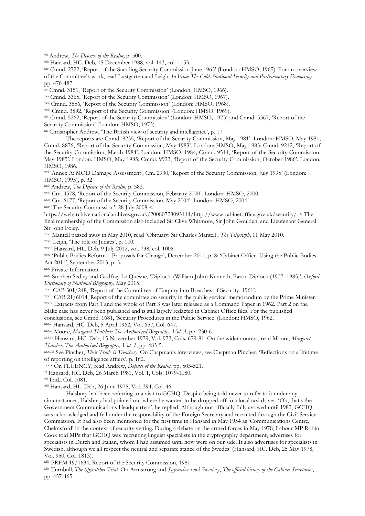**.** 

xiv Cmnd. 2722, 'Report of the Standing Security Commission June 1965' (London: HMSO, 1965). For an overview of the Committee's work, read Lustgarten and Leigh, *In From The Cold: National Security and Parliamentary Democracy*, pp. 476-487.

<sup>11</sup> Cmnd. 3151, 'Report of the Security Commission' (London: HMSO, 1966).

xvi Cmnd. 3365, 'Report of the Security Commission' (London: HMSO, 1967).

xvii Cmnd. 3856, 'Report of the Security Commission' (London: HMSO, 1968).

xviii Cmnd. 3892, 'Report of the Security Commission' (London: HMSO, 1969).

xix Cmnd. 5262, 'Report of the Security Commission' (London: HMSO, 1973) and Cmnd. 5367, 'Report of the Security Commission' (London: HMSO, 1973).

xx Christopher Andrew, 'The British view of security and intelligence', p. 17.

The reports are Cmnd. 8235, 'Report of the Security Commission, May 1981'. London: HMSO, May 1981; Cmnd. 8876, 'Report of the Security Commission, May 1983'. London: HMSO, May 1983; Cmnd. 9212, 'Report of the Security Commission, March 1984'. London: HMSO, 1984; Cmnd. 9514, 'Report of the Security Commission, May 1985'. London: HMSO, May 1985; Cmnd. 9923, 'Report of the Security Commission, October 1986'. London: HMSO, 1986.

xxi 'Annex A: MOD Damage Assessment', Cm. 2930, 'Report of the Security Commission, July 1995' (London: HMSO, 1995), p. 32

xxii Andrew, *The Defence of the Realm*, p. 583.

xxiii Cm. 4578, 'Report of the Security Commission, February 2000'. London: HMSO, 2000.

xxiv Cm. 6177, 'Report of the Security Commission, May 2004'. London: HMSO, 2004.

xxv 'The Security Commission', 28 July 2008 <

https://webarchive.nationalarchives.gov.uk/20080728093114/http://www.cabinetoffice.gov.uk/security/ > The final membership of the Commission also included Sir Clive Whitmore, Sir John Goulden, and Lieutenant General Sir John Foley.

xxvi Mantell passed away in May 2010, read 'Obituary: Sir Charles Mantell', *The Telegraph*, 11 May 2010.

xxvii Leigh, 'The role of Judges', p. 100.

xxviii Hansard, HL. Deb, 9 July 2012, vol. 738, col. 1008.

xxix 'Public Bodies Reform – Proposals for Change', December 2011, p. 8; 'Cabinet Office: Using the Public Bodies Act 2011', September 2013, p. 3.

xxx Private Information.

xxxi Stephen Sedley and Godfray Le Quesne, 'Diplock, (William John) Kenneth, Baron Diplock (1907–1985)', *Oxford Dictionary of National Biography*, May 2015.

xxxii CAB 301/248, 'Report of the Committee of Enquiry into Breaches of Security, 1961'.

xxxiii CAB 21/6014, Report of the committee on security in the public service: memorandum by the Prime Minister. xxxiv Extracts from Part 1 and the whole of Part 3 was later released as a Command Paper in 1962. Part 2 on the Blake case has never been published and is still largely redacted in Cabinet Office files. For the published conclusions, see Cmnd. 1681, 'Security Procedures in the Public Service' (London: HMSO, 1962.

xxxv Hansard, HC. Deb, 5 April 1962, Vol. 657, Col. 647.

xxxvi Moore, *Margaret Thatcher: The Authorized Biography, Vol. 3*, pp. 230-6.

xxxvii Hansard, HC. Deb, 15 November 1979, Vol. 973, Cols. 679-81. On the wider context, read Moore, *Margaret Thatcher: The Authorised Biography, Vol. 1*, pp. 483-5.

xxxviii See Pincher, *Their Trade is Treachery*. On Chapman's interviews, see Chapman Pincher, 'Reflections on a lifetime of reporting on intelligence affairs', p. 162.

xxxix On FLUENCY, read Andrew, *Defence of the Realm*, pp. 503-521.

xl Hansard, HC. Deb, 26 March 1981, Vol. 1, Cols. 1079-1080.

xli Ibid., Col. 1081.

xlii Hansard, HL. Deb, 26 June 1978, Vol. 394, Col. 46.

Halsbury had been referring to a visit to GCHQ. Despite being told never to refer to it under any circumstances, Halsbury had pointed out where he wanted to be dropped off to a local taxi driver. 'Oh, that's the Government Communications Headquarters', he replied. Although not officially fully avowed until 1982, GCHQ was acknowledged and fell under the responsibility of the Foreign Secretary and recruited through the Civil Service Commission. It had also been mentioned for the first time in Hansard in May 1954 as 'Communications Centre, Chelmsford' in the context of security vetting. During a debate on the armed forces in May 1978, Labour MP Robin Cook told MPs that GCHQ was 'recruiting linguist specialists in the cryptography department, advertises for specialists in Dutch and Italian, whom I had assumed until now were on our side. It also advertises for specialists in Swedish, although we all respect the neutral and separate stance of the Swedes' (Hansard, HC. Deb, 25 May 1978, Vol. 950, Col. 1813).

xliii PREM 19/1634, Report of the Security Commission, 1981.

xliv Turnbull, *The Spycatcher Trial*. On Armstrong and *Spycatcher* read Beesley, *The official history of the Cabinet Secretaries*, pp. 457-465.

xii Andrew, *The Defence of the Realm*, p. 500.

xiii Hansard, HC. Deb, 15 December 1988, vol. 143, col. 1153.